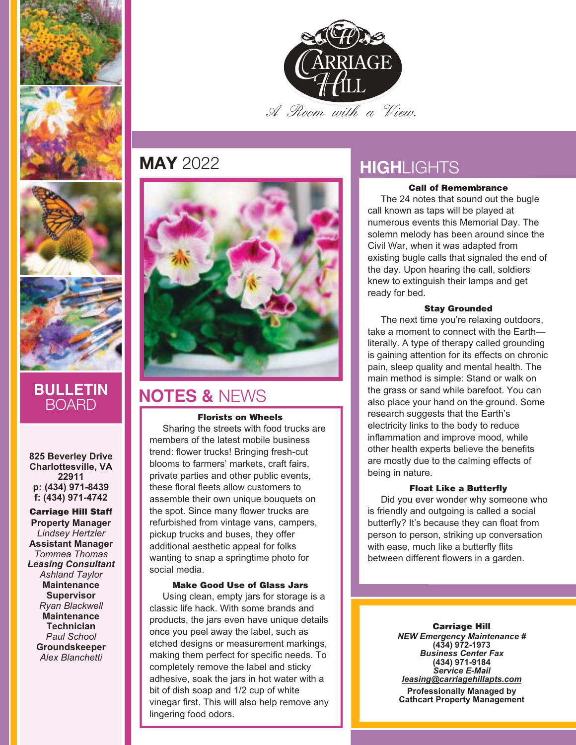







## **BULLETIN** BOARD

**825 Beverley Drive Charlottesville, VA 22911 p: (434) 971-8439 f: (434) 971-4742**

**Carriage Hill Staff Property Manager** *Lindsey Hertzler* **Assistant Manager** *Tommea Thomas Leasing Consultant Ashland Taylor* **Maintenance Supervisor** *Ryan Blackwell* **Maintenance Technician** *Paul School* **Groundskeeper** *Alex Blanchetti*



## **MAY** 2022



## **NOTES &** NEWS

#### **Florists on Wheels**

Sharing the streets with food trucks are members of the latest mobile business trend: flower trucks! Bringing fresh-cut blooms to farmers' markets, craft fairs, private parties and other public events, these floral fleets allow customers to assemble their own unique bouquets on the spot. Since many flower trucks are refurbished from vintage vans, campers, pickup trucks and buses, they offer additional aesthetic appeal for folks wanting to snap a springtime photo for social media.

#### **Make Good Use of Glass Jars**

Using clean, empty jars for storage is a classic life hack. With some brands and products, the jars even have unique details once you peel away the label, such as etched designs or measurement markings, making them perfect for specific needs. To completely remove the label and sticky adhesive, soak the jars in hot water with a bit of dish soap and 1/2 cup of white vinegar first. This will also help remove any lingering food odors.

## **HIGH**LIGHTS

#### **Call of Remembrance**

The 24 notes that sound out the bugle call known as taps will be played at numerous events this Memorial Day. The solemn melody has been around since the Civil War, when it was adapted from existing bugle calls that signaled the end of the day. Upon hearing the call, soldiers knew to extinguish their lamps and get ready for bed.

#### **Stay Grounded**

The next time you're relaxing outdoors, take a moment to connect with the Earth literally. A type of therapy called grounding is gaining attention for its effects on chronic pain, sleep quality and mental health. The main method is simple: Stand or walk on the grass or sand while barefoot. You can also place your hand on the ground. Some research suggests that the Earth's electricity links to the body to reduce inflammation and improve mood, while other health experts believe the benefits are mostly due to the calming effects of being in nature.

#### **Float Like a Butterfly**

Did you ever wonder why someone who is friendly and outgoing is called a social butterfly? It's because they can float from person to person, striking up conversation with ease, much like a butterfly flits between different flowers in a garden.

> **Carriage Hill** *NEW Emergency Maintenance #* **(434) 972-1973** *Business Center Fax* **(434) 971-9184** *Service E-Mail leasing@carriagehillapts.com*

**Professionally Managed by Cathcart Property Management**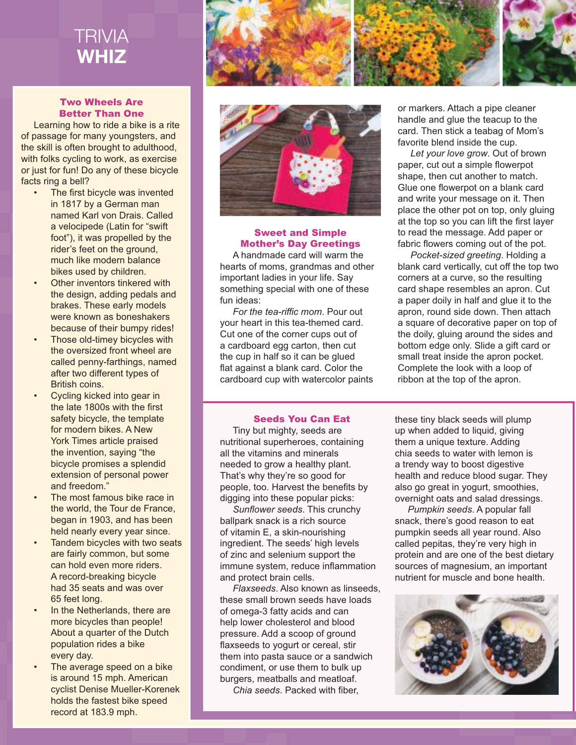

#### Two Wheels Are Better Than One

Learning how to ride a bike is a rite of passage for many youngsters, and the skill is often brought to adulthood, with folks cycling to work, as exercise or just for fun! Do any of these bicycle facts ring a bell?

- The first bicycle was invented in 1817 by a German man named Karl von Drais. Called a velocipede (Latin for "swift foot"), it was propelled by the rider's feet on the ground, much like modern balance bikes used by children.
- **Other inventors tinkered with** the design, adding pedals and brakes. These early models were known as boneshakers because of their bumpy rides!
- Those old-timey bicycles with the oversized front wheel are called penny-farthings, named after two different types of British coins.
- Cycling kicked into gear in the late 1800s with the first safety bicycle, the template for modern bikes. A New York Times article praised the invention, saying "the bicycle promises a splendid extension of personal power and freedom."
- The most famous bike race in the world, the Tour de France, began in 1903, and has been held nearly every year since.
- Tandem bicycles with two seats are fairly common, but some can hold even more riders. A record-breaking bicycle had 35 seats and was over 65 feet long.
- In the Netherlands, there are more bicycles than people! About a quarter of the Dutch population rides a bike every day.
- The average speed on a bike is around 15 mph. American cyclist Denise Mueller-Korenek holds the fastest bike speed record at 183.9 mph.





#### Sweet and Simple Mother's Day Greetings A handmade card will warm the

hearts of moms, grandmas and other important ladies in your life. Say something special with one of these fun ideas:

For the tea-riffic mom. Pour out your heart in this tea-themed card. Cut one of the corner cups out of a cardboard egg carton, then cut the cup in half so it can be glued flat against a blank card. Color the cardboard cup with watercolor paints or markers. Attach a pipe cleaner handle and glue the teacup to the card. Then stick a teabag of Mom's favorite blend inside the cup.

*Let your love grow*. Out of brown paper, cut out a simple flowerpot shape, then cut another to match. Glue one flowerpot on a blank card and write your message on it. Then place the other pot on top, only gluing at the top so you can lift the first layer to read the message. Add paper or fabric flowers coming out of the pot.

*Pocket-sized greeting*. Holding a blank card vertically, cut off the top two corners at a curve, so the resulting card shape resembles an apron. Cut a paper doily in half and glue it to the apron, round side down. Then attach a square of decorative paper on top of the doily, gluing around the sides and bottom edge only. Slide a gift card or small treat inside the apron pocket. Complete the look with a loop of ribbon at the top of the apron.

#### Seeds You Can Eat

Tiny but mighty, seeds are nutritional superheroes, containing all the vitamins and minerals needed to grow a healthy plant. That's why they're so good for people, too. Harvest the benefits by digging into these popular picks:

*Sunfl ower seeds*. This crunchy ballpark snack is a rich source of vitamin E, a skin-nourishing ingredient. The seeds' high levels of zinc and selenium support the immune system, reduce inflammation and protect brain cells.

*Flaxseeds*. Also known as linseeds, these small brown seeds have loads of omega-3 fatty acids and can help lower cholesterol and blood pressure. Add a scoop of ground flaxseeds to yogurt or cereal, stir them into pasta sauce or a sandwich condiment, or use them to bulk up burgers, meatballs and meatloaf.

*Chia seeds*. Packed with fiber.

these tiny black seeds will plump up when added to liquid, giving them a unique texture. Adding chia seeds to water with lemon is a trendy way to boost digestive health and reduce blood sugar. They also go great in yogurt, smoothies, overnight oats and salad dressings.

*Pumpkin seeds*. A popular fall snack, there's good reason to eat pumpkin seeds all year round. Also called pepitas, they're very high in protein and are one of the best dietary sources of magnesium, an important nutrient for muscle and bone health.

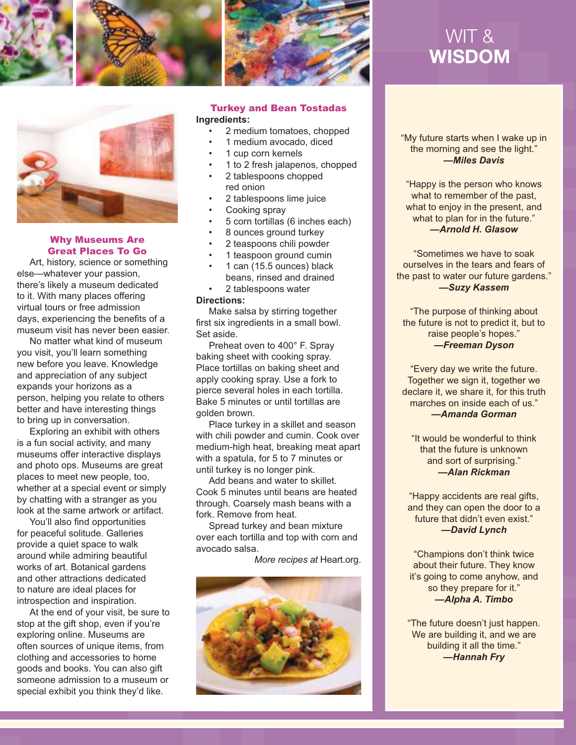



#### Why Museums Are Great Places To Go

Art, history, science or something else—whatever your passion, there's likely a museum dedicated to it. With many places offering virtual tours or free admission days, experiencing the benefits of a museum visit has never been easier.

No matter what kind of museum you visit, you'll learn something new before you leave. Knowledge and appreciation of any subject expands your horizons as a person, helping you relate to others better and have interesting things to bring up in conversation.

Exploring an exhibit with others is a fun social activity, and many museums offer interactive displays and photo ops. Museums are great places to meet new people, too, whether at a special event or simply by chatting with a stranger as you look at the same artwork or artifact.

You'll also find opportunities for peaceful solitude. Galleries provide a quiet space to walk around while admiring beautiful works of art. Botanical gardens and other attractions dedicated to nature are ideal places for introspection and inspiration.

At the end of your visit, be sure to stop at the gift shop, even if you're exploring online. Museums are often sources of unique items, from clothing and accessories to home goods and books. You can also gift someone admission to a museum or special exhibit you think they'd like.



### Turkey and Bean Tostadas

#### **Ingredients:**

- 2 medium tomatoes, chopped
- 1 medium avocado, diced
- 1 cup corn kernels
- 1 to 2 fresh jalapenos, chopped
- 2 tablespoons chopped red onion
- 2 tablespoons lime juice
- Cooking spray
- 5 corn tortillas (6 inches each)
- 8 ounces ground turkey
- 2 teaspoons chili powder
- 1 teaspoon ground cumin
- 1 can (15.5 ounces) black beans, rinsed and drained
- 2 tablespoons water

#### **Directions:**

Make salsa by stirring together first six ingredients in a small bowl. Set aside.

Preheat oven to 400° F. Spray baking sheet with cooking spray. Place tortillas on baking sheet and apply cooking spray. Use a fork to pierce several holes in each tortilla. Bake 5 minutes or until tortillas are golden brown.

Place turkey in a skillet and season with chili powder and cumin. Cook over medium-high heat, breaking meat apart with a spatula, for 5 to 7 minutes or until turkey is no longer pink.

Add beans and water to skillet. Cook 5 minutes until beans are heated through. Coarsely mash beans with a fork. Remove from heat.

Spread turkey and bean mixture over each tortilla and top with corn and avocado salsa.

*More recipes at* Heart.org.



# WIT & WISDOM

"My future starts when I wake up in the morning and see the light." *—Miles Davis*

"Happy is the person who knows what to remember of the past, what to enjoy in the present, and what to plan for in the future." *—Arnold H. Glasow*

"Sometimes we have to soak ourselves in the tears and fears of the past to water our future gardens." *—Suzy Kassem*

"The purpose of thinking about the future is not to predict it, but to raise people's hopes." *—Freeman Dyson*

"Every day we write the future. Together we sign it, together we declare it, we share it, for this truth marches on inside each of us." *—Amanda Gorman*

"It would be wonderful to think that the future is unknown and sort of surprising." *—Alan Rickman*

"Happy accidents are real gifts, and they can open the door to a future that didn't even exist." *—David Lynch*

"Champions don't think twice about their future. They know it's going to come anyhow, and so they prepare for it." *—Alpha A. Timbo*

"The future doesn't just happen. We are building it, and we are building it all the time." *—Hannah Fry*